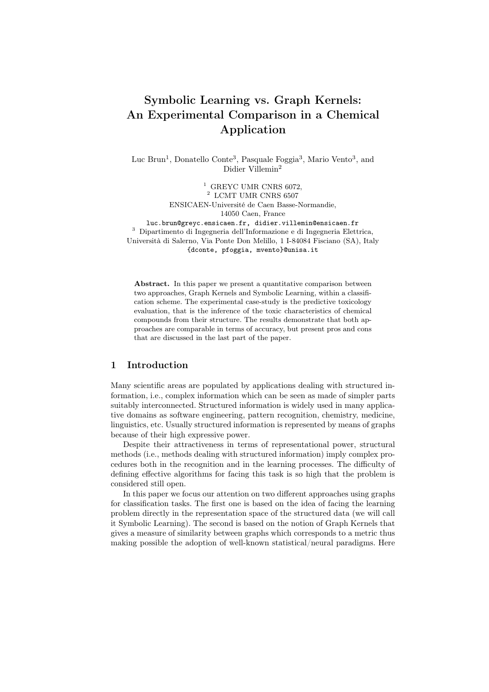# Symbolic Learning vs. Graph Kernels: An Experimental Comparison in a Chemical Application

Luc Brun<sup>1</sup>, Donatello Conte<sup>3</sup>, Pasquale Foggia<sup>3</sup>, Mario Vento<sup>3</sup>, and Didier Villemin<sup>2</sup>

> <sup>1</sup> GREYC UMR CNRS  $6072$ , <sup>2</sup> LCMT UMR CNRS 6507 ENSICAEN-Université de Caen Basse-Normandie, 14050 Caen, France

luc.brun@greyc.ensicaen.fr, didier.villemin@ensicaen.fr <sup>3</sup> Dipartimento di Ingegneria dell'Informazione e di Ingegneria Elettrica, Università di Salerno, Via Ponte Don Melillo, 1 I-84084 Fisciano (SA), Italy {dconte, pfoggia, mvento}@unisa.it

Abstract. In this paper we present a quantitative comparison between two approaches, Graph Kernels and Symbolic Learning, within a classification scheme. The experimental case-study is the predictive toxicology evaluation, that is the inference of the toxic characteristics of chemical compounds from their structure. The results demonstrate that both approaches are comparable in terms of accuracy, but present pros and cons that are discussed in the last part of the paper.

# 1 Introduction

Many scientific areas are populated by applications dealing with structured information, i.e., complex information which can be seen as made of simpler parts suitably interconnected. Structured information is widely used in many applicative domains as software engineering, pattern recognition, chemistry, medicine, linguistics, etc. Usually structured information is represented by means of graphs because of their high expressive power.

Despite their attractiveness in terms of representational power, structural methods (i.e., methods dealing with structured information) imply complex procedures both in the recognition and in the learning processes. The difficulty of defining effective algorithms for facing this task is so high that the problem is considered still open.

In this paper we focus our attention on two different approaches using graphs for classification tasks. The first one is based on the idea of facing the learning problem directly in the representation space of the structured data (we will call it Symbolic Learning). The second is based on the notion of Graph Kernels that gives a measure of similarity between graphs which corresponds to a metric thus making possible the adoption of well-known statistical/neural paradigms. Here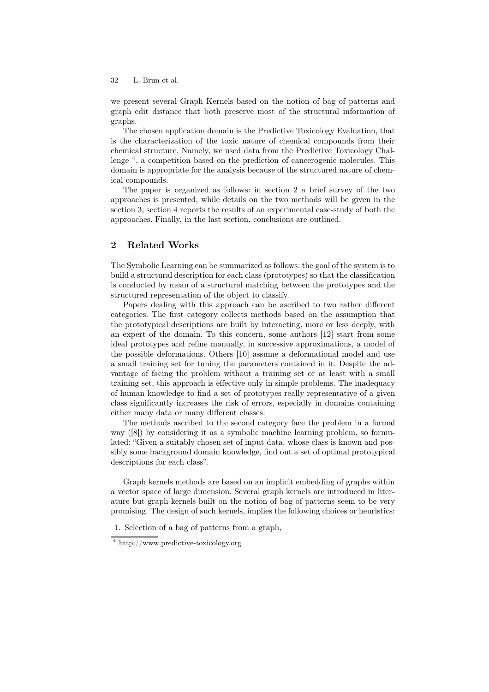we present several Graph Kernels based on the notion of bag of patterns and graph edit distance that both preserve most of the structural information of graphs.

The chosen application domain is the Predictive Toxicology Evaluation, that is the characterization of the toxic nature of chemical compounds from their chemical structure. Namely, we used data from the Predictive Toxicology Challenge <sup>4</sup> , a competition based on the prediction of cancerogenic molecules. This domain is appropriate for the analysis because of the structured nature of chemical compounds.

The paper is organized as follows: in section 2 a brief survey of the two approaches is presented, while details on the two methods will be given in the section 3; section 4 reports the results of an experimental case-study of both the approaches. Finally, in the last section, conclusions are outlined.

# 2 Related Works

The Symbolic Learning can be summarized as follows: the goal of the system is to build a structural description for each class (prototypes) so that the classification is conducted by mean of a structural matching between the prototypes and the structured representation of the object to classify.

Papers dealing with this approach can be ascribed to two rather different categories. The first category collects methods based on the assumption that the prototypical descriptions are built by interacting, more or less deeply, with an expert of the domain. To this concern, some authors [12] start from some ideal prototypes and refine manually, in successive approximations, a model of the possible deformations. Others [10] assume a deformational model and use a small training set for tuning the parameters contained in it. Despite the advantage of facing the problem without a training set or at least with a small training set, this approach is effective only in simple problems. The inadequacy of human knowledge to find a set of prototypes really representative of a given class significantly increases the risk of errors, especially in domains containing either many data or many different classes.

The methods ascribed to the second category face the problem in a formal way ([8]) by considering it as a symbolic machine learning problem, so formulated: "Given a suitably chosen set of input data, whose class is known and possibly some background domain knowledge, find out a set of optimal prototypical descriptions for each class".

Graph kernels methods are based on an implicit embedding of graphs within a vector space of large dimension. Several graph kernels are introduced in literature but graph kernels built on the notion of bag of patterns seem to be very promising. The design of such kernels, implies the following choices or heuristics:

1. Selection of a bag of patterns from a graph,

<sup>4</sup> http://www.predictive-toxicology.org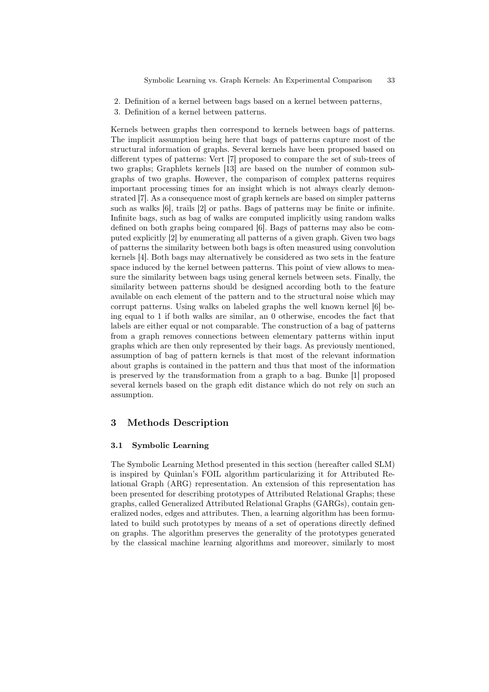- 2. Definition of a kernel between bags based on a kernel between patterns,
- 3. Definition of a kernel between patterns.

Kernels between graphs then correspond to kernels between bags of patterns. The implicit assumption being here that bags of patterns capture most of the structural information of graphs. Several kernels have been proposed based on different types of patterns: Vert [7] proposed to compare the set of sub-trees of two graphs; Graphlets kernels [13] are based on the number of common subgraphs of two graphs. However, the comparison of complex patterns requires important processing times for an insight which is not always clearly demonstrated [7]. As a consequence most of graph kernels are based on simpler patterns such as walks [6], trails [2] or paths. Bags of patterns may be finite or infinite. Infinite bags, such as bag of walks are computed implicitly using random walks defined on both graphs being compared [6]. Bags of patterns may also be computed explicitly [2] by enumerating all patterns of a given graph. Given two bags of patterns the similarity between both bags is often measured using convolution kernels [4]. Both bags may alternatively be considered as two sets in the feature space induced by the kernel between patterns. This point of view allows to measure the similarity between bags using general kernels between sets. Finally, the similarity between patterns should be designed according both to the feature available on each element of the pattern and to the structural noise which may corrupt patterns. Using walks on labeled graphs the well known kernel [6] being equal to 1 if both walks are similar, an 0 otherwise, encodes the fact that labels are either equal or not comparable. The construction of a bag of patterns from a graph removes connections between elementary patterns within input graphs which are then only represented by their bags. As previously mentioned, assumption of bag of pattern kernels is that most of the relevant information about graphs is contained in the pattern and thus that most of the information is preserved by the transformation from a graph to a bag. Bunke [1] proposed several kernels based on the graph edit distance which do not rely on such an assumption.

# 3 Methods Description

#### 3.1 Symbolic Learning

The Symbolic Learning Method presented in this section (hereafter called SLM) is inspired by Quinlan's FOIL algorithm particularizing it for Attributed Relational Graph (ARG) representation. An extension of this representation has been presented for describing prototypes of Attributed Relational Graphs; these graphs, called Generalized Attributed Relational Graphs (GARGs), contain generalized nodes, edges and attributes. Then, a learning algorithm has been formulated to build such prototypes by means of a set of operations directly defined on graphs. The algorithm preserves the generality of the prototypes generated by the classical machine learning algorithms and moreover, similarly to most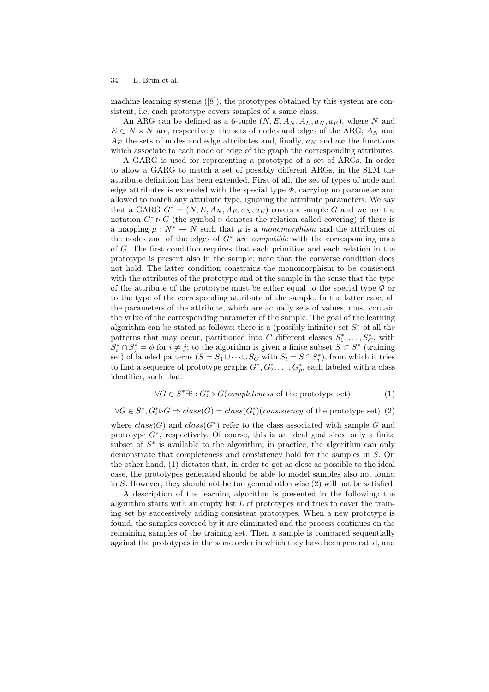machine learning systems ([8]), the prototypes obtained by this system are consistent, i.e. each prototype covers samples of a same class.

An ARG can be defined as a 6-tuple  $(N, E, A_N, A_E, a_N, a_E)$ , where N and  $E \subset N \times N$  are, respectively, the sets of nodes and edges of the ARG,  $A_N$  and  $A_E$  the sets of nodes and edge attributes and, finally,  $a_N$  and  $a_E$  the functions which associate to each node or edge of the graph the corresponding attributes.

A GARG is used for representing a prototype of a set of ARGs. In order to allow a GARG to match a set of possibly different ARGs, in the SLM the attribute definition has been extended. First of all, the set of types of node and edge attributes is extended with the special type  $\Phi$ , carrying no parameter and allowed to match any attribute type, ignoring the attribute parameters. We say that a GARG  $G^* = (N, E, A_N, A_E, a_N, a_E)$  covers a sample G and we use the notation  $G^* \triangleright G$  (the symbol  $\triangleright$  denotes the relation called covering) if there is a mapping  $\mu : N^* \to N$  such that  $\mu$  is a monomorphism and the attributes of the nodes and of the edges of  $G^*$  are *compatible* with the corresponding ones of G. The first condition requires that each primitive and each relation in the prototype is present also in the sample; note that the converse condition does not hold. The latter condition constrains the monomorphism to be consistent with the attributes of the prototype and of the sample in the sense that the type of the attribute of the prototype must be either equal to the special type  $\Phi$  or to the type of the corresponding attribute of the sample. In the latter case, all the parameters of the attribute, which are actually sets of values, must contain the value of the corresponding parameter of the sample. The goal of the learning algorithm can be stated as follows: there is a (possibly infinite) set  $S^*$  of all the patterns that may occur, partitioned into C different classes  $S_1^*, \ldots, S_C^*$ , with  $S_i^* \cap S_j^* = \phi$  for  $i \neq j$ ; to the algorithm is given a finite subset  $S \subset S^*$  (training set) of labeled patterns  $(S = S_1 \cup \cdots \cup S_C \text{ with } S_i = S \cap S_i^*),$  from which it tries to find a sequence of prototype graphs  $G_1^*, G_2^*, \ldots, G_p^*$ , each labeled with a class identifier, such that:

$$
\forall G \in S^* \exists i : G_i^* \triangleright G(\text{completeness of the prototype set})
$$
 (1)

$$
\forall G \in S^*, G_i^* \triangleright G \Rightarrow class(G) = class(G_i^*)(consistency \text{ of the prototype set}) \tag{2}
$$

where  $class(G)$  and  $class(G^*)$  refer to the class associated with sample G and prototype  $G^*$ , respectively. Of course, this is an ideal goal since only a finite subset of  $S^*$  is available to the algorithm; in practice, the algorithm can only demonstrate that completeness and consistency hold for the samples in S. On the other hand, (1) dictates that, in order to get as close as possible to the ideal case, the prototypes generated should be able to model samples also not found in S. However, they should not be too general otherwise (2) will not be satisfied.

A description of the learning algorithm is presented in the following: the algorithm starts with an empty list  $L$  of prototypes and tries to cover the training set by successively adding consistent prototypes. When a new prototype is found, the samples covered by it are eliminated and the process continues on the remaining samples of the training set. Then a sample is compared sequentially against the prototypes in the same order in which they have been generated, and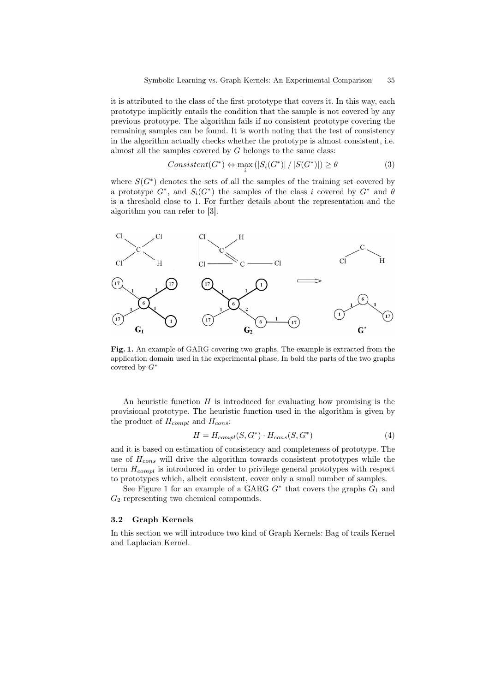it is attributed to the class of the first prototype that covers it. In this way, each prototype implicitly entails the condition that the sample is not covered by any previous prototype. The algorithm fails if no consistent prototype covering the remaining samples can be found. It is worth noting that the test of consistency in the algorithm actually checks whether the prototype is almost consistent, i.e. almost all the samples covered by  $G$  belongs to the same class:

$$
Consistent(G^*) \Leftrightarrow \max_{i} (|S_i(G^*)| / |S(G^*)|) \ge \theta
$$
\n(3)

where  $S(G^*)$  denotes the sets of all the samples of the training set covered by a prototype  $G^*$ , and  $S_i(G^*)$  the samples of the class i covered by  $G^*$  and  $\theta$ is a threshold close to 1. For further details about the representation and the algorithm you can refer to [3].



Fig. 1. An example of GARG covering two graphs. The example is extracted from the application domain used in the experimental phase. In bold the parts of the two graphs covered by  $G^*$ 

An heuristic function  $H$  is introduced for evaluating how promising is the provisional prototype. The heuristic function used in the algorithm is given by the product of  $H_{compl}$  and  $H_{cons}$ :

$$
H = H_{compl}(S, G^*) \cdot H_{cons}(S, G^*)
$$
\n<sup>(4)</sup>

and it is based on estimation of consistency and completeness of prototype. The use of  $H_{cons}$  will drive the algorithm towards consistent prototypes while the term  $H_{compl}$  is introduced in order to privilege general prototypes with respect to prototypes which, albeit consistent, cover only a small number of samples.

See Figure 1 for an example of a GARG  $G^*$  that covers the graphs  $G_1$  and  $G_2$  representing two chemical compounds.

#### 3.2 Graph Kernels

In this section we will introduce two kind of Graph Kernels: Bag of trails Kernel and Laplacian Kernel.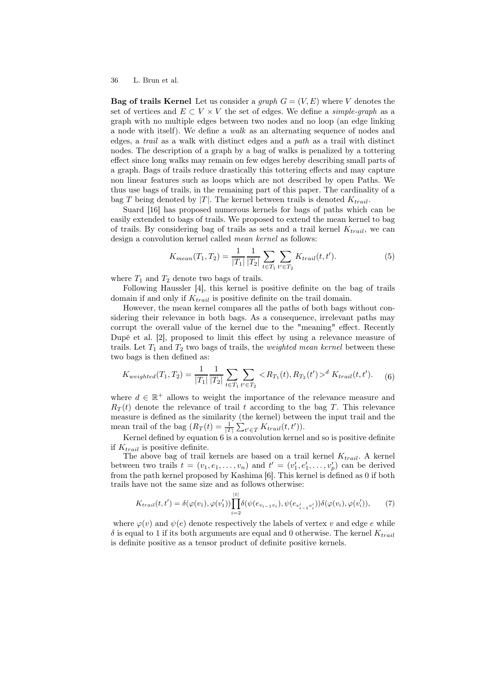**Bag of trails Kernel** Let us consider a *graph*  $G = (V, E)$  where V denotes the set of vertices and  $E \subset V \times V$  the set of edges. We define a *simple-graph* as a graph with no multiple edges between two nodes and no loop (an edge linking a node with itself). We define a *walk* as an alternating sequence of nodes and edges, a trail as a walk with distinct edges and a path as a trail with distinct nodes. The description of a graph by a bag of walks is penalized by a tottering effect since long walks may remain on few edges hereby describing small parts of a graph. Bags of trails reduce drastically this tottering effects and may capture non linear features such as loops which are not described by open Paths. We thus use bags of trails, in the remaining part of this paper. The cardinality of a bag T being denoted by |T|. The kernel between trails is denoted  $K_{trail}$ .

Suard [16] has proposed numerous kernels for bags of paths which can be easily extended to bags of trails. We proposed to extend the mean kernel to bag of trails. By considering bag of trails as sets and a trail kernel  $K_{trail}$ , we can design a convolution kernel called mean kernel as follows:

$$
K_{mean}(T_1, T_2) = \frac{1}{|T_1|} \frac{1}{|T_2|} \sum_{t \in T_1} \sum_{t' \in T_2} K_{trail}(t, t'). \tag{5}
$$

where  $T_1$  and  $T_2$  denote two bags of trails.

Following Haussler [4], this kernel is positive definite on the bag of trails domain if and only if  $K_{trail}$  is positive definite on the trail domain.

However, the mean kernel compares all the paths of both bags without considering their relevance in both bags. As a consequence, irrelevant paths may corrupt the overall value of the kernel due to the "meaning" effect. Recently Dupé et al. [2], proposed to limit this effect by using a relevance measure of trails. Let  $T_1$  and  $T_2$  two bags of trails, the *weighted mean kernel* between these two bags is then defined as:

$$
K_{weighted}(T_1, T_2) = \frac{1}{|T_1|} \frac{1}{|T_2|} \sum_{t \in T_1} \sum_{t' \in T_2} \langle R_{T_1}(t), R_{T_2}(t') \rangle^d K_{trail}(t, t'). \tag{6}
$$

where  $d \in \mathbb{R}^+$  allows to weight the importance of the relevance measure and  $R_T(t)$  denote the relevance of trail t according to the bag T. This relevance measure is defined as the similarity (the kernel) between the input trail and the mean trail of the bag  $(R_T(t) = \frac{1}{|T|} \sum_{t' \in T} K_{trail}(t, t')).$ 

Kernel defined by equation 6 is a convolution kernel and so is positive definite if  $K_{trail}$  is positive definite.

The above bag of trail kernels are based on a trail kernel  $K_{trail}$ . A kernel between two trails  $t = (v_1, e_1, \ldots, v_n)$  and  $t' = (v'_1, e'_1, \ldots, v'_p)$  can be derived from the path kernel proposed by Kashima [6]. This kernel is defined as 0 if both trails have not the same size and as follows otherwise:

$$
K_{trail}(t, t') = \delta(\varphi(v_1), \varphi(v'_1)) \prod_{i=2}^{|t|} \delta(\psi(e_{v_{i-1}v_i}), \psi(e_{v'_{i-1}v'_i})) \delta(\varphi(v_i), \varphi(v'_i)), \tag{7}
$$

where  $\varphi(v)$  and  $\psi(e)$  denote respectively the labels of vertex v and edge e while  $\delta$  is equal to 1 if its both arguments are equal and 0 otherwise. The kernel  $K_{trail}$ is definite positive as a tensor product of definite positive kernels.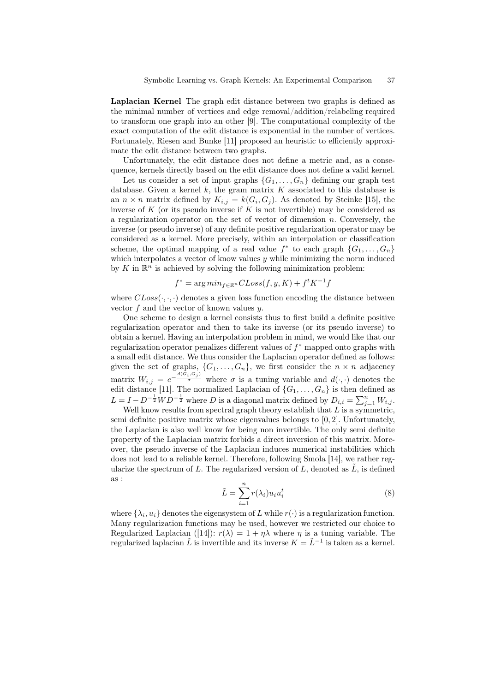Laplacian Kernel The graph edit distance between two graphs is defined as the minimal number of vertices and edge removal/addition/relabeling required to transform one graph into an other [9]. The computational complexity of the exact computation of the edit distance is exponential in the number of vertices. Fortunately, Riesen and Bunke [11] proposed an heuristic to efficiently approximate the edit distance between two graphs.

Unfortunately, the edit distance does not define a metric and, as a consequence, kernels directly based on the edit distance does not define a valid kernel.

Let us consider a set of input graphs  $\{G_1, \ldots, G_n\}$  defining our graph test database. Given a kernel  $k$ , the gram matrix  $K$  associated to this database is an  $n \times n$  matrix defined by  $K_{i,j} = k(G_i, G_j)$ . As denoted by Steinke [15], the inverse of K (or its pseudo inverse if K is not invertible) may be considered as a regularization operator on the set of vector of dimension  $n$ . Conversely, the inverse (or pseudo inverse) of any definite positive regularization operator may be considered as a kernel. More precisely, within an interpolation or classification scheme, the optimal mapping of a real value  $f^*$  to each graph  $\{G_1, \ldots, G_n\}$ which interpolates a vector of know values  $y$  while minimizing the norm induced by  $K$  in  $\mathbb{R}^n$  is achieved by solving the following minimization problem:

$$
f^* = \arg\min_{f \in \mathbb{R}^n} CLoss(f, y, K) + f^t K^{-1} f
$$

where  $CLoss(\cdot, \cdot, \cdot)$  denotes a given loss function encoding the distance between vector  $f$  and the vector of known values  $y$ .

One scheme to design a kernel consists thus to first build a definite positive regularization operator and then to take its inverse (or its pseudo inverse) to obtain a kernel. Having an interpolation problem in mind, we would like that our regularization operator penalizes different values of  $f^*$  mapped onto graphs with a small edit distance. We thus consider the Laplacian operator defined as follows: given the set of graphs,  $\{G_1, \ldots, G_n\}$ , we first consider the  $n \times n$  adjacency matrix  $W_{i,j} = e^{-\frac{d(G_i, G_j)}{\sigma}}$  where  $\sigma$  is a tuning variable and  $d(\cdot, \cdot)$  denotes the edit distance [11]. The normalized Laplacian of  $\{G_1, \ldots, G_n\}$  is then defined as  $L = I - D^{-\frac{1}{2}}WD^{-\frac{1}{2}}$  where D is a diagonal matrix defined by  $D_{i,i} = \sum_{j=1}^{n} W_{i,j}$ .

Well know results from spectral graph theory establish that  $L$  is a symmetric, semi definite positive matrix whose eigenvalues belongs to [0, 2]. Unfortunately, the Laplacian is also well know for being non invertible. The only semi definite property of the Laplacian matrix forbids a direct inversion of this matrix. Moreover, the pseudo inverse of the Laplacian induces numerical instabilities which does not lead to a reliable kernel. Therefore, following Smola [14], we rather regularize the spectrum of L. The regularized version of L, denoted as  $\tilde{L}$ , is defined as :

$$
\tilde{L} = \sum_{i=1}^{n} r(\lambda_i) u_i u_i^t \tag{8}
$$

where  $\{\lambda_i, u_i\}$  denotes the eigensystem of L while  $r(\cdot)$  is a regularization function. Many regularization functions may be used, however we restricted our choice to Regularized Laplacian ([14]):  $r(\lambda) = 1 + \eta \lambda$  where  $\eta$  is a tuning variable. The regularized laplacian  $\tilde{L}$  is invertible and its inverse  $K = \tilde{L}^{-1}$  is taken as a kernel.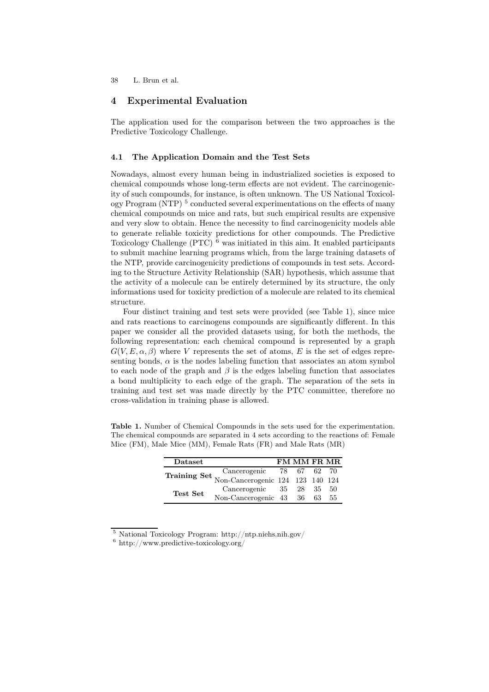## 4 Experimental Evaluation

The application used for the comparison between the two approaches is the Predictive Toxicology Challenge.

#### 4.1 The Application Domain and the Test Sets

Nowadays, almost every human being in industrialized societies is exposed to chemical compounds whose long-term effects are not evident. The carcinogenicity of such compounds, for instance, is often unknown. The US National Toxicology Program (NTP)<sup>5</sup> conducted several experimentations on the effects of many chemical compounds on mice and rats, but such empirical results are expensive and very slow to obtain. Hence the necessity to find carcinogenicity models able to generate reliable toxicity predictions for other compounds. The Predictive Toxicology Challenge (PTC) <sup>6</sup> was initiated in this aim. It enabled participants to submit machine learning programs which, from the large training datasets of the NTP, provide carcinogenicity predictions of compounds in test sets. According to the Structure Activity Relationship (SAR) hypothesis, which assume that the activity of a molecule can be entirely determined by its structure, the only informations used for toxicity prediction of a molecule are related to its chemical structure.

Four distinct training and test sets were provided (see Table 1), since mice and rats reactions to carcinogens compounds are significantly different. In this paper we consider all the provided datasets using, for both the methods, the following representation: each chemical compound is represented by a graph  $G(V, E, \alpha, \beta)$  where V represents the set of atoms, E is the set of edges representing bonds,  $\alpha$  is the nodes labeling function that associates an atom symbol to each node of the graph and  $\beta$  is the edges labeling function that associates a bond multiplicity to each edge of the graph. The separation of the sets in training and test set was made directly by the PTC committee, therefore no cross-validation in training phase is allowed.

Table 1. Number of Chemical Compounds in the sets used for the experimentation. The chemical compounds are separated in 4 sets according to the reactions of: Female Mice (FM), Male Mice (MM), Female Rats (FR) and Male Rats (MR)

| Dataset                                                                   |                           | <b>FM MM FR MR</b> |    |
|---------------------------------------------------------------------------|---------------------------|--------------------|----|
| Training Set Cancerogenic 78 67 62 70<br>Non-Cancerogenic 124 123 140 124 |                           |                    |    |
|                                                                           |                           |                    |    |
| Test Set                                                                  | Cancerogenic 35 28 35 50  |                    |    |
|                                                                           | Non-Cancerogenic 43 36 63 |                    | 55 |

<sup>5</sup> National Toxicology Program: http://ntp.niehs.nih.gov/

 $6$  http://www.predictive-toxicology.org/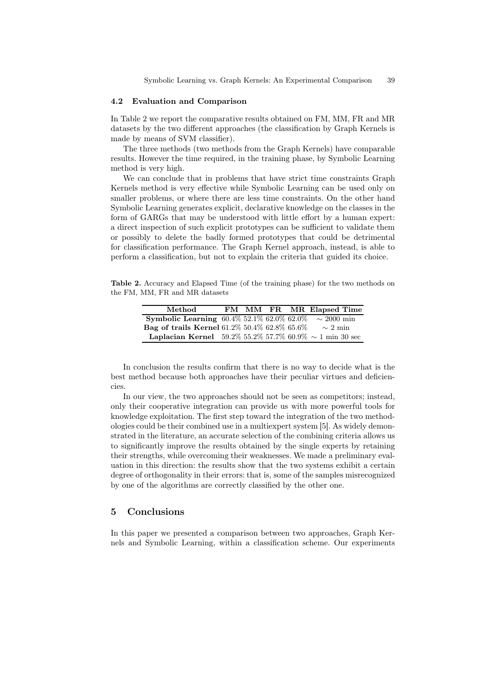#### 4.2 Evaluation and Comparison

In Table 2 we report the comparative results obtained on FM, MM, FR and MR datasets by the two different approaches (the classification by Graph Kernels is made by means of SVM classifier).

The three methods (two methods from the Graph Kernels) have comparable results. However the time required, in the training phase, by Symbolic Learning method is very high.

We can conclude that in problems that have strict time constraints Graph Kernels method is very effective while Symbolic Learning can be used only on smaller problems, or where there are less time constraints. On the other hand Symbolic Learning generates explicit, declarative knowledge on the classes in the form of GARGs that may be understood with little effort by a human expert: a direct inspection of such explicit prototypes can be sufficient to validate them or possibly to delete the badly formed prototypes that could be detrimental for classification performance. The Graph Kernel approach, instead, is able to perform a classification, but not to explain the criteria that guided its choice.

Table 2. Accuracy and Elapsed Time (of the training phase) for the two methods on the FM, MM, FR and MR datasets

| Method                                                              |  |  | FM MM FR MR Elapsed Time |
|---------------------------------------------------------------------|--|--|--------------------------|
| <b>Symbolic Learning</b> 60.4\% 52.1\% 62.0\% 62.0\%                |  |  | $\sim 2000$ min          |
| Bag of trails Kernel 61.2% 50.4% 62.8% 65.6%                        |  |  | $\sim 2$ min             |
| <b>Laplacian Kernel</b> 59.2% 55.2% 57.7% 60.9% $\sim$ 1 min 30 sec |  |  |                          |

In conclusion the results confirm that there is no way to decide what is the best method because both approaches have their peculiar virtues and deficiencies.

In our view, the two approaches should not be seen as competitors; instead, only their cooperative integration can provide us with more powerful tools for knowledge exploitation. The first step toward the integration of the two methodologies could be their combined use in a multiexpert system [5]. As widely demonstrated in the literature, an accurate selection of the combining criteria allows us to significantly improve the results obtained by the single experts by retaining their strengths, while overcoming their weaknesses. We made a preliminary evaluation in this direction: the results show that the two systems exhibit a certain degree of orthogonality in their errors: that is, some of the samples misrecognized by one of the algorithms are correctly classified by the other one.

#### 5 Conclusions

In this paper we presented a comparison between two approaches, Graph Kernels and Symbolic Learning, within a classification scheme. Our experiments